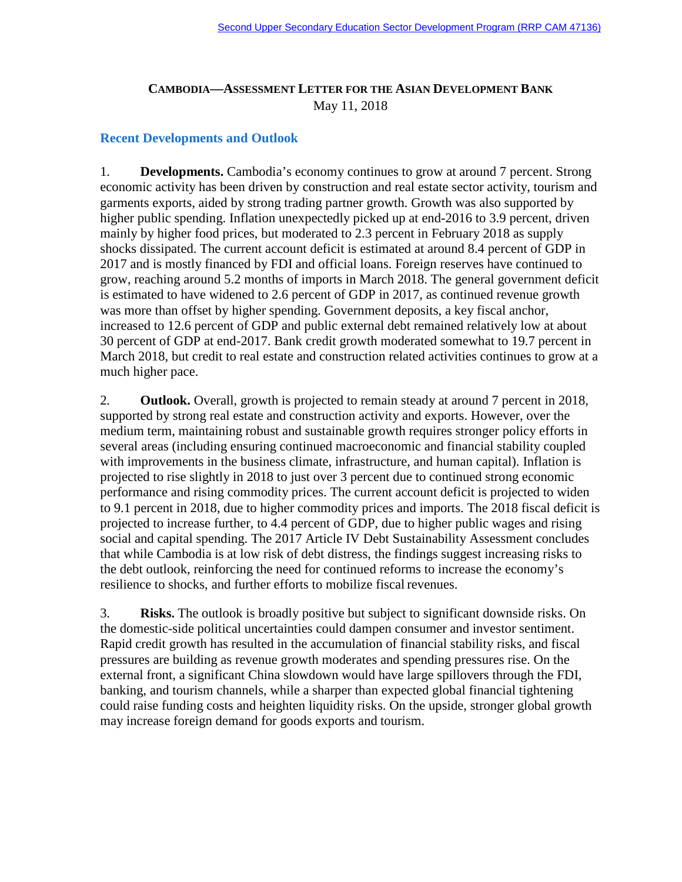## **CAMBODIA—ASSESSMENT LETTER FOR THE ASIAN DEVELOPMENT BANK** May 11, 2018

## **Recent Developments and Outlook**

1. **Developments.** Cambodia's economy continues to grow at around 7 percent. Strong economic activity has been driven by construction and real estate sector activity, tourism and garments exports, aided by strong trading partner growth. Growth was also supported by higher public spending. Inflation unexpectedly picked up at end-2016 to 3.9 percent, driven mainly by higher food prices, but moderated to 2.3 percent in February 2018 as supply shocks dissipated. The current account deficit is estimated at around 8.4 percent of GDP in 2017 and is mostly financed by FDI and official loans. Foreign reserves have continued to grow, reaching around 5.2 months of imports in March 2018. The general government deficit is estimated to have widened to 2.6 percent of GDP in 2017, as continued revenue growth was more than offset by higher spending. Government deposits, a key fiscal anchor, increased to 12.6 percent of GDP and public external debt remained relatively low at about 30 percent of GDP at end-2017. Bank credit growth moderated somewhat to 19.7 percent in March 2018, but credit to real estate and construction related activities continues to grow at a much higher pace.

2. **Outlook.** Overall, growth is projected to remain steady at around 7 percent in 2018, supported by strong real estate and construction activity and exports. However, over the medium term, maintaining robust and sustainable growth requires stronger policy efforts in several areas (including ensuring continued macroeconomic and financial stability coupled with improvements in the business climate, infrastructure, and human capital). Inflation is projected to rise slightly in 2018 to just over 3 percent due to continued strong economic performance and rising commodity prices. The current account deficit is projected to widen to 9.1 percent in 2018, due to higher commodity prices and imports. The 2018 fiscal deficit is projected to increase further, to 4.4 percent of GDP, due to higher public wages and rising social and capital spending. The 2017 Article IV Debt Sustainability Assessment concludes that while Cambodia is at low risk of debt distress, the findings suggest increasing risks to the debt outlook, reinforcing the need for continued reforms to increase the economy's resilience to shocks, and further efforts to mobilize fiscal revenues.

3. **Risks.** The outlook is broadly positive but subject to significant downside risks. On the domestic-side political uncertainties could dampen consumer and investor sentiment. Rapid credit growth has resulted in the accumulation of financial stability risks, and fiscal pressures are building as revenue growth moderates and spending pressures rise. On the external front, a significant China slowdown would have large spillovers through the FDI, banking, and tourism channels, while a sharper than expected global financial tightening could raise funding costs and heighten liquidity risks. On the upside, stronger global growth may increase foreign demand for goods exports and tourism.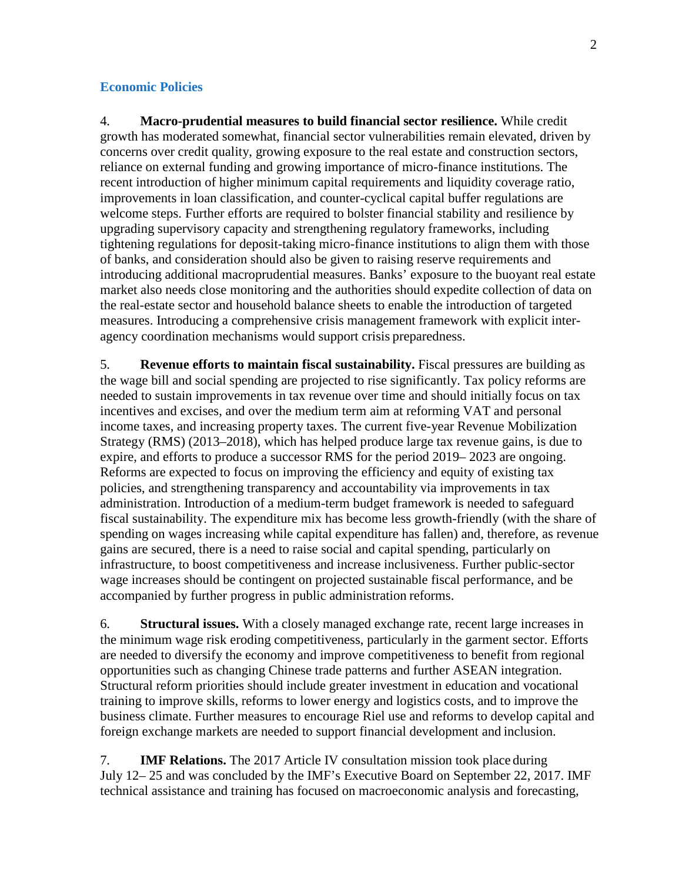## **Economic Policies**

4. **Macro-prudential measures to build financial sector resilience.** While credit growth has moderated somewhat, financial sector vulnerabilities remain elevated, driven by concerns over credit quality, growing exposure to the real estate and construction sectors, reliance on external funding and growing importance of micro-finance institutions. The recent introduction of higher minimum capital requirements and liquidity coverage ratio, improvements in loan classification, and counter-cyclical capital buffer regulations are welcome steps. Further efforts are required to bolster financial stability and resilience by upgrading supervisory capacity and strengthening regulatory frameworks, including tightening regulations for deposit-taking micro-finance institutions to align them with those of banks, and consideration should also be given to raising reserve requirements and introducing additional macroprudential measures. Banks' exposure to the buoyant real estate market also needs close monitoring and the authorities should expedite collection of data on the real-estate sector and household balance sheets to enable the introduction of targeted measures. Introducing a comprehensive crisis management framework with explicit interagency coordination mechanisms would support crisis preparedness.

5. **Revenue efforts to maintain fiscal sustainability.** Fiscal pressures are building as the wage bill and social spending are projected to rise significantly. Tax policy reforms are needed to sustain improvements in tax revenue over time and should initially focus on tax incentives and excises, and over the medium term aim at reforming VAT and personal income taxes, and increasing property taxes. The current five-year Revenue Mobilization Strategy (RMS) (2013–2018), which has helped produce large tax revenue gains, is due to expire, and efforts to produce a successor RMS for the period 2019– 2023 are ongoing. Reforms are expected to focus on improving the efficiency and equity of existing tax policies, and strengthening transparency and accountability via improvements in tax administration. Introduction of a medium-term budget framework is needed to safeguard fiscal sustainability. The expenditure mix has become less growth-friendly (with the share of spending on wages increasing while capital expenditure has fallen) and, therefore, as revenue gains are secured, there is a need to raise social and capital spending, particularly on infrastructure, to boost competitiveness and increase inclusiveness. Further public-sector wage increases should be contingent on projected sustainable fiscal performance, and be accompanied by further progress in public administration reforms.

6. **Structural issues.** With a closely managed exchange rate, recent large increases in the minimum wage risk eroding competitiveness, particularly in the garment sector. Efforts are needed to diversify the economy and improve competitiveness to benefit from regional opportunities such as changing Chinese trade patterns and further ASEAN integration. Structural reform priorities should include greater investment in education and vocational training to improve skills, reforms to lower energy and logistics costs, and to improve the business climate. Further measures to encourage Riel use and reforms to develop capital and foreign exchange markets are needed to support financial development and inclusion.

7. **IMF Relations.** The 2017 Article IV consultation mission took place during July 12– 25 and was concluded by the IMF's Executive Board on September 22, 2017. IMF technical assistance and training has focused on macroeconomic analysis and forecasting,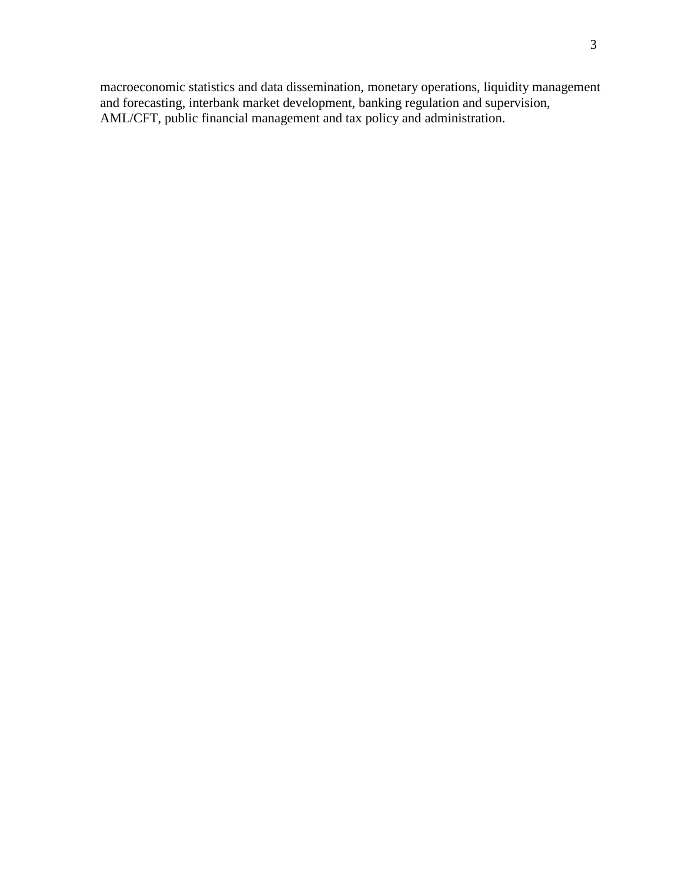macroeconomic statistics and data dissemination, monetary operations, liquidity management and forecasting, interbank market development, banking regulation and supervision, AML/CFT, public financial management and tax policy and administration.